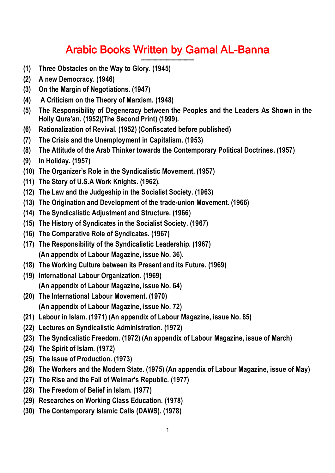## **Arabic Books Written by Gamal AL-Banna ــــــــــــــــــــــــــــــــــــــــــــ**

- **(1) Three Obstacles on the Way to Glory. (1945)**
- **(2) A new Democracy. (1946)**
- **(3) On the Margin of Negotiations. (1947)**
- **(4) A Criticism on the Theory of Marxism. (1948)**
- **(5) The Responsibility of Degeneracy between the Peoples and the Leaders As Shown in the Holly Qura'an. (1952)(The Second Print) (1999).**
- **(6) Rationalization of Revival. (1952) (Confiscated before published)**
- **(7) The Crisis and the Unemployment in Capitalism. (1953)**
- **(8) The Attitude of the Arab Thinker towards the Contemporary Political Doctrines. (1957)**
- **(9) In Holiday. (1957)**
- **(10) The Organizer's Role in the Syndicalistic Movement. (1957)**
- **(11) The Story of U.S.A Work Knights. (1962).**
- **(12) The Law and the Judgeship in the Socialist Society. (1963)**
- **(13) The Origination and Development of the trade-union Movement. (1966)**
- **(14) The Syndicalistic Adjustment and Structure. (1966)**
- **(15) The History of Syndicates in the Socialist Society. (1967)**
- **(16) The Comparative Role of Syndicates. (1967)**
- **(17) The Responsibility of the Syndicalistic Leadership. (1967) (An appendix of Labour Magazine, issue No. 36).**
- **(18) The Working Culture between its Present and its Future. (1969)**
- **(19) International Labour Organization. (1969) (An appendix of Labour Magazine, issue No. 64)**
- **(20) The International Labour Movement. (1970) (An appendix of Labour Magazine, issue No. 72)**
- **(21) Labour in Islam. (1971) (An appendix of Labour Magazine, issue No. 85)**
- **(22) Lectures on Syndicalistic Administration. (1972)**
- **(23) The Syndicalistic Freedom. (1972) (An appendix of Labour Magazine, issue of March)**
- **(24) The Spirit of Islam. (1972)**
- **(25) The Issue of Production. (1973)**
- **(26) The Workers and the Modern State. (1975) (An appendix of Labour Magazine, issue of May)**
- **(27) The Rise and the Fall of Weimar's Republic. (1977)**
- **(28) The Freedom of Belief in Islam. (1977)**
- **(29) Researches on Working Class Education. (1978)**
- **(30) The Contemporary Islamic Calls (DAWS). (1978)**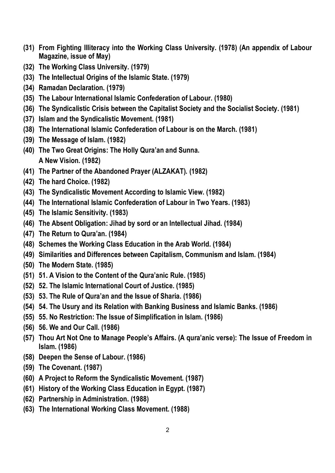- **(31) From Fighting Illiteracy into the Working Class University. (1978) (An appendix of Labour Magazine, issue of May)**
- **(32) The Working Class University. (1979)**
- **(33) The Intellectual Origins of the Islamic State. (1979)**
- **(34) Ramadan Declaration. (1979)**
- **(35) The Labour International Islamic Confederation of Labour. (1980)**
- **(36) The Syndicalistic Crisis between the Capitalist Society and the Socialist Society. (1981)**
- **(37) Islam and the Syndicalistic Movement. (1981)**
- **(38) The International Islamic Confederation of Labour is on the March. (1981)**
- **(39) The Message of Islam. (1982)**
- **(40) The Two Great Origins: The Holly Qura'an and Sunna. A New Vision. (1982)**
- **(41) The Partner of the Abandoned Prayer (ALZAKAT). (1982)**
- **(42) The hard Choice. (1982)**
- **(43) The Syndicalistic Movement According to Islamic View. (1982)**
- **(44) The International Islamic Confederation of Labour in Two Years. (1983)**
- **(45) The Islamic Sensitivity. (1983)**
- **(46) The Absent Obligation: Jihad by sord or an Intellectual Jihad. (1984)**
- **(47) The Return to Qura'an. (1984)**
- **(48) Schemes the Working Class Education in the Arab World. (1984)**
- **(49) Similarities and Differences between Capitalism, Communism and Islam. (1984)**
- **(50) The Modern State. (1985)**
- **(51) 51. A Vision to the Content of the Qura'anic Rule. (1985)**
- **(52) 52. The Islamic International Court of Justice. (1985)**
- **(53) 53. The Rule of Qura'an and the Issue of Sharia. (1986)**
- **(54) 54. The Usury and its Relation with Banking Business and Islamic Banks. (1986)**
- **(55) 55. No Restriction: The Issue of Simplification in Islam. (1986)**
- **(56) 56. We and Our Call. (1986)**
- **(57) Thou Art Not One to Manage People's Affairs. (A qura'anic verse): The Issue of Freedom in Islam. (1986)**
- **(58) Deepen the Sense of Labour. (1986)**
- **(59) The Covenant. (1987)**
- **(60) A Project to Reform the Syndicalistic Movement. (1987)**
- **(61) History of the Working Class Education in Egypt. (1987)**
- **(62) Partnership in Administration. (1988)**
- **(63) The International Working Class Movement. (1988)**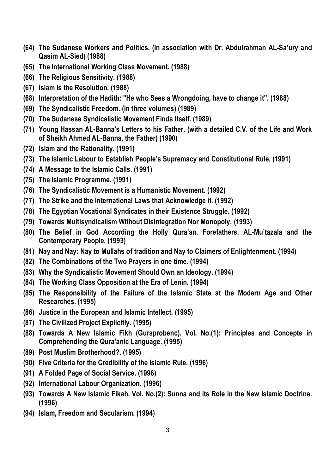- **(64) The Sudanese Workers and Politics. (In association with Dr. Abdulrahman AL-Sa'ury and Qasim AL-Sied) (1988)**
- **(65) The International Working Class Movement. (1988)**
- **(66) The Religious Sensitivity. (1988)**
- **(67) Islam is the Resolution. (1988)**
- **(68) Interpretation of the Hadith: "He who Sees a Wrongdoing, have to change it". (1988)**
- **(69) The Syndicalistic Freedom. (in three volumes) (1989)**
- **(70) The Sudanese Syndicalistic Movement Finds Itself. (1989)**
- **(71) Young Hassan AL-Banna's Letters to his Father. (with a detailed C.V. of the Life and Work of Sheikh Ahmed AL-Banna, the Father) (1990)**
- **(72) Islam and the Rationality. (1991)**
- **(73) The Islamic Labour to Establish People's Supremacy and Constitutional Rule. (1991)**
- **(74) A Message to the Islamic Calls. (1991)**
- **(75) The Islamic Programme. (1991)**
- **(76) The Syndicalistic Movement is a Humanistic Movement. (1992)**
- **(77) The Strike and the International Laws that Acknowledge it. (1992)**
- **(78) The Egyptian Vocational Syndicates in their Existence Struggle. (1992)**
- **(79) Towards Multisyndicalism Without Disintegration Nor Monopoly. (1993)**
- **(80) The Belief in God According the Holly Qura'an, Forefathers, AL-Mu'tazala and the Contemporary People. (1993)**
- **(81) Nay and Nay: Nay to Mullahs of tradition and Nay to Claimers of Enlightenment. (1994)**
- **(82) The Combinations of the Two Prayers in one time. (1994)**
- **(83) Why the Syndicalistic Movement Should Own an Ideology. (1994)**
- **(84) The Working Class Opposition at the Era of Lenin. (1994)**
- **(85) The Responsibility of the Failure of the Islamic State at the Modern Age and Other Researches. (1995)**
- **(86) Justice in the European and Islamic Intellect. (1995)**
- **(87) The Civilized Project Explicitly. (1995)**
- **(88) Towards A New Islamic Fikh (Gursprobenc). Vol. No.(1): Principles and Concepts in Comprehending the Qura'anic Language. (1995)**
- **(89) Post Muslim Brotherhood?. (1995)**
- **(90) Five Criteria for the Credibility of the Islamic Rule. (1996)**
- **(91) A Folded Page of Social Service. (1996)**
- **(92) International Labour Organization. (1996)**
- **(93) Towards A New Islamic Fikah. Vol. No.(2): Sunna and its Role in the New Islamic Doctrine. (1996)**
- **(94) Islam, Freedom and Secularism. (1994)**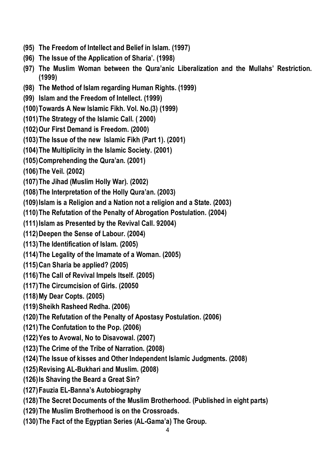- **(95) The Freedom of Intellect and Belief in Islam. (1997)**
- **(96) The Issue of the Application of Sharia'. (1998)**
- **(97) The Muslim Woman between the Qura'anic Liberalization and the Mullahs' Restriction. (1999)**
- **(98) The Method of Islam regarding Human Rights. (1999)**
- **(99) Islam and the Freedom of Intellect. (1999)**
- **(100)Towards A New Islamic Fikh. Vol. No.(3) (1999)**
- **(101)The Strategy of the Islamic Call. ( 2000)**
- **(102)Our First Demand is Freedom. (2000)**
- **(103)The Issue of the new Islamic Fikh (Part 1). (2001)**
- **(104)The Multiplicity in the Islamic Society. (2001)**
- **(105)Comprehending the Qura'an. (2001)**
- **(106)The Veil. (2002)**
- **(107)The Jihad (Muslim Holly War). (2002)**
- **(108)The Interpretation of the Holly Qura'an. (2003)**
- **(109)Islam is a Religion and a Nation not a religion and a State. (2003)**
- **(110)The Refutation of the Penalty of Abrogation Postulation. (2004)**
- **(111)Islam as Presented by the Revival Call. 92004)**
- **(112)Deepen the Sense of Labour. (2004)**
- **(113)The Identification of Islam. (2005)**
- **(114)The Legality of the Imamate of a Woman. (2005)**
- **(115)Can Sharia be applied? (2005)**
- **(116)The Call of Revival Impels Itself. (2005)**
- **(117)The Circumcision of Girls. (20050**
- **(118)My Dear Copts. (2005)**
- **(119)Sheikh Rasheed Redha. (2006)**
- **(120)The Refutation of the Penalty of Apostasy Postulation. (2006)**
- **(121)The Confutation to the Pop. (2006)**
- **(122)Yes to Avowal, No to Disavowal. (2007)**
- **(123)The Crime of the Tribe of Narration. (2008)**
- **(124)The Issue of kisses and Other Independent Islamic Judgments. (2008)**
- **(125)Revising AL-Bukhari and Muslim. (2008)**
- **(126)Is Shaving the Beard a Great Sin?**
- **(127)Fauzia EL-Banna's Autobiography**
- **(128)The Secret Documents of the Muslim Brotherhood. (Published in eight parts)**
- **(129)The Muslim Brotherhood is on the Crossroads.**
- **(130)The Fact of the Egyptian Series (AL-Gama'a) The Group.**